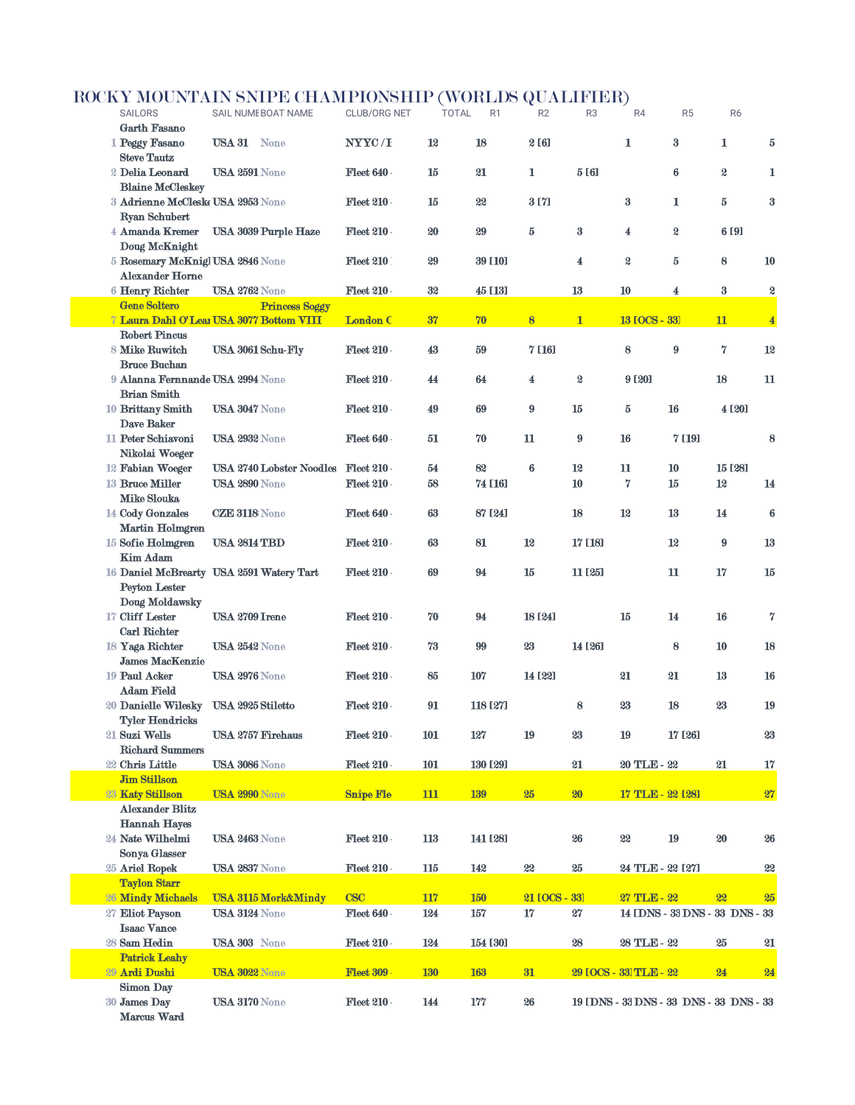## ROCKY MOUNTAIN SNIPE CHAMPIONSHIP (WORLDS QUALIFIER)

|                                                            | $\frac{1}{2}$                            | $\overline{\text{Shtim}}$ respectively. |            |                                | ч                | <u>+ + + + + v / </u> |                        |                                         |                |                         |
|------------------------------------------------------------|------------------------------------------|-----------------------------------------|------------|--------------------------------|------------------|-----------------------|------------------------|-----------------------------------------|----------------|-------------------------|
| <b>SAILORS</b>                                             | SAIL NUME BOAT NAME                      | <b>CLUB/ORG NET</b>                     |            | <b>TOTAL</b><br>R <sub>1</sub> | R2               | R <sub>3</sub>        | R4                     | R <sub>5</sub>                          | R <sub>6</sub> |                         |
| <b>Garth Fasano</b><br>1 Peggy Fasano                      | <b>USA 31 None</b>                       | NYYC/I                                  | 12         | 18                             | 2 [6]            |                       | 1                      | $\bf{3}$                                | 1              | $\bf 5$                 |
| <b>Steve Tautz</b>                                         |                                          |                                         |            |                                |                  |                       |                        |                                         |                |                         |
| 2 Delia Leonard<br><b>Blaine McCleskey</b>                 | USA 2591 None                            | Fleet 640                               | 15         | 21                             | 1                | 5 [6]                 |                        | 6                                       | S              | 1                       |
| 3 Adrienne McCleske USA 2953 None                          |                                          | Fleet 210                               | 15         | 22                             | 3 [7]            |                       | $\bf{3}$               | 1                                       | $\bf 5$        | $\bf{3}$                |
| <b>Ryan Schubert</b>                                       |                                          |                                         |            |                                |                  |                       |                        |                                         |                |                         |
| 4 Amanda Kremer                                            | USA 3039 Purple Haze                     | Fleet 210                               | 20         | 29                             | 5                | $\bf{3}$              | 4                      | S,                                      | 6 [9]          |                         |
| Doug McKnight                                              |                                          |                                         |            |                                |                  |                       |                        |                                         |                |                         |
| 5 Rosemary McKnigl USA 2846 None<br><b>Alexander Horne</b> |                                          | <b>Fleet 210</b>                        | 29         | <b>39 [10]</b>                 |                  | 4                     | $\boldsymbol{2}$       | 5                                       | 8              | 10                      |
| 6 Henry Richter                                            | <b>USA 2762 None</b>                     | Fleet 210                               | 32         | 45 [13]                        |                  | 13                    | 10                     | 4                                       | $\bf{3}$       | 2                       |
| <b>Gene Soltero</b>                                        | <b>Princess Soggy</b>                    |                                         |            |                                |                  |                       |                        |                                         |                |                         |
|                                                            | 7 Laura Dahl O'Lear USA 3077 Bottom VIII | <b>London C</b>                         | 37         | 70                             | $\bf{8}$         | $\mathbf{1}$          | <b>13 [OCS - 33]</b>   |                                         | 11             | $\overline{\mathbf{4}}$ |
| <b>Robert Pincus</b>                                       |                                          |                                         |            |                                |                  |                       |                        |                                         |                |                         |
| 8 Mike Ruwitch<br><b>Bruce Buchan</b>                      | <b>USA 3061 Schu-Fly</b>                 | Fleet 210                               | 43         | 59                             | 7 [16]           |                       | 8                      | 9                                       | 7              | 12                      |
| 9 Alanna Fernnande USA 2994 None                           |                                          | Fleet 210                               | 44         | 64                             | 4                | $\boldsymbol{2}$      | 9 [20]                 |                                         | 18             | 11                      |
| <b>Brian Smith</b>                                         |                                          |                                         |            |                                |                  |                       |                        |                                         |                |                         |
| 10 Brittany Smith                                          | <b>USA 3047 None</b>                     | Fleet 210                               | 49         | 69                             | $\boldsymbol{9}$ | 15                    | $\bf 5$                | 16                                      | 4 [20]         |                         |
| Dave Baker                                                 |                                          |                                         |            |                                |                  |                       |                        |                                         |                |                         |
| 11 Peter Schiavoni<br>Nikolai Woeger                       | USA 2932 None                            | Fleet 640                               | 51         | 70                             | 11               | 9                     | 16                     | 7 [19]                                  |                | 8                       |
| 12 Fabian Woeger                                           | USA 2740 Lobster Noodles Fleet 210       |                                         | 54         | 82                             | 6                | 12                    | 11                     | 10                                      | 15 [28]        |                         |
| 13 Bruce Miller                                            | USA 2890 None                            | Fleet 210                               | 58         | 74 [16]                        |                  | 10                    | 7                      | 15                                      | 12             | 14                      |
| <b>Mike Slouka</b>                                         |                                          |                                         |            |                                |                  |                       |                        |                                         |                |                         |
| 14 Cody Gonzales                                           | <b>CZE 3118 None</b>                     | Fleet 640                               | 63         | 87 [24]                        |                  | 18                    | 12                     | 13                                      | 14             | 6                       |
| Martin Holmgren<br>15 Sofie Holmgren                       | <b>USA 2814 TBD</b>                      | Fleet 210                               | 63         | 81                             | 12               | 17 [18]               |                        | 12                                      | 9              | 13                      |
| <b>Kim Adam</b>                                            |                                          |                                         |            |                                |                  |                       |                        |                                         |                |                         |
|                                                            | 16 Daniel McBrearty USA 2591 Watery Tart | Fleet 210                               | 69         | 94                             | 15               | 11 [25]               |                        | 11                                      | 17             | 15                      |
| <b>Peyton Lester</b>                                       |                                          |                                         |            |                                |                  |                       |                        |                                         |                |                         |
| Doug Moldawsky<br>17 Cliff Lester                          | <b>USA 2709 Irene</b>                    | Fleet 210                               | 70         | 94                             | 18 [24]          |                       | 15                     | 14                                      | 16             | 7                       |
| <b>Carl Richter</b>                                        |                                          |                                         |            |                                |                  |                       |                        |                                         |                |                         |
| 18 Yaga Richter                                            | USA 2542 None                            | Fleet 210                               | 73         | 99                             | 23               | 14 [26]               |                        | 8                                       | 10             | 18                      |
| <b>James MacKenzie</b>                                     |                                          |                                         |            |                                |                  |                       |                        |                                         |                |                         |
| 19 Paul Acker                                              | USA 2976 None                            | Fleet 210                               | 85         | 107                            | 14 [22]          |                       | 21                     | 21                                      | 13             | <b>16</b>               |
| <b>Adam Field</b><br>20 Danielle Wilesky                   | USA 2925 Stiletto                        | Fleet 210                               | 91         | 118 [27]                       |                  | 8                     | 23                     | 18                                      | 23             | 19                      |
| <b>Tyler Hendricks</b>                                     |                                          |                                         |            |                                |                  |                       |                        |                                         |                |                         |
| 21 Suzi Wells                                              | <b>USA 2757 Firehaus</b>                 | Fleet 210                               | 101        | 127                            | 19               | 23                    | 19                     | 17 [26]                                 |                | 23                      |
| <b>Richard Summers</b>                                     |                                          |                                         |            |                                |                  |                       |                        |                                         |                |                         |
| 22 Chris Little<br><b>Jim Stillson</b>                     | <b>USA 3086 None</b>                     | Fleet 210                               | 101        | 130 [29]                       |                  | 21                    | 20 TLE-22              |                                         | 21             | 17                      |
| 23 Katy Stillson                                           | <b>USA 2990 None</b>                     | <b>Snipe Fle</b>                        | 111        | <b>139</b>                     | 25               | 20                    | 17 TLE - 22 [28]       |                                         |                | 27                      |
| <b>Alexander Blitz</b>                                     |                                          |                                         |            |                                |                  |                       |                        |                                         |                |                         |
| <b>Hannah Hayes</b>                                        |                                          |                                         |            |                                |                  |                       |                        |                                         |                |                         |
| 24 Nate Wilhelmi<br>Sonya Glasser                          | <b>USA 2463 None</b>                     | Fleet 210                               | 113        | 141 [28]                       |                  | 26                    | 22                     | 19                                      | 20             | 26                      |
| 25 Ariel Ropek                                             | <b>USA 2837 None</b>                     | Fleet 210                               | 115        | 142                            | 22               | 25                    | 24 TLE - 22 [27]       |                                         |                | 22                      |
| <b>Taylon Starr</b>                                        |                                          |                                         |            |                                |                  |                       |                        |                                         |                |                         |
| 26 Mindy Michaels                                          | <b>USA 3115 Mork&amp;Mindy</b>           | <b>CSC</b>                              | 117        | <b>150</b>                     | <b>21 LOCS</b>   | $-331$                | 27 TLE-22              |                                         | 22             | 25                      |
| 27 Eliot Payson                                            | <b>USA 3124 None</b>                     | Fleet 640                               | 124        | 157                            | 17               | 27                    |                        | 14 IDNS - 33 DNS - 33 DNS - 33          |                |                         |
| <b>Isaac Vance</b><br>28 Sam Hedin                         | <b>USA 303 None</b>                      | $F_{\text{leet}} 210$                   | 124        | 154 [30]                       |                  | 28                    | 28 TLE-22              |                                         | 25             | 21                      |
| <b>Patrick Leahy</b>                                       |                                          |                                         |            |                                |                  |                       |                        |                                         |                |                         |
| 29 Ardi Dushi                                              | USA 3022 None                            | <b>Fleet 309</b>                        | <b>130</b> | <b>163</b>                     | 31               |                       | 29 [OCS - 33] TLE - 22 |                                         | 24             | 24                      |
| <b>Simon Day</b>                                           |                                          |                                         |            |                                |                  |                       |                        |                                         |                |                         |
| 30 James Day<br>Marcus Ward                                | <b>USA 3170 None</b>                     | <b>Fleet 210</b>                        | 144        | 177                            | 26               |                       |                        | 19 IDNS - 33 DNS - 33 DNS - 33 DNS - 33 |                |                         |
|                                                            |                                          |                                         |            |                                |                  |                       |                        |                                         |                |                         |